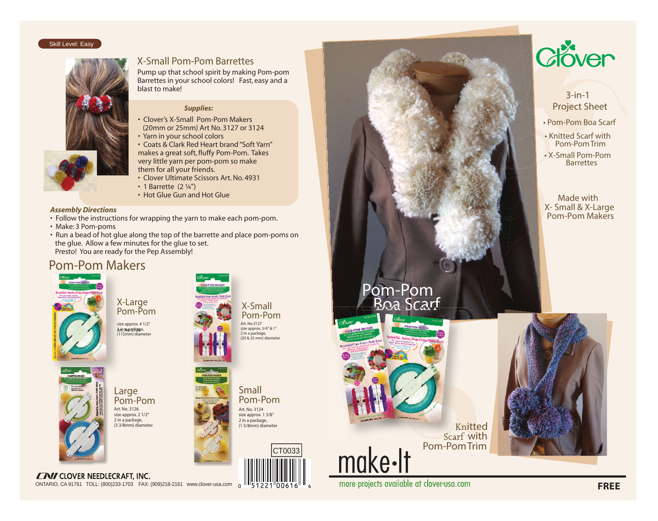#### Skill Level: Easy



## X-Small Pom-Pom Barrettes

Pump up that school spirit by making Pom-pom Barrettes in your school colors! Fast, easy and a blast to make!

## *Supplies:*

• Clover's X-Small Pom-Pom Makers (20mm or 25mm) Art No. 3127 or 3124

• Yarn in your school colors

• Coats & Clark Red Heart brand"Soft Yarn" makes a great soft, fluffy Pom-Pom. Takes very little yarn per pom-pom so make them for all your friends.

- Clover Ultimate Scissors Art. No. 4931
- 1 Barrette  $(2 <sup>1</sup>/<sub>4</sub>")$
- Hot Glue Gun and Hot Glue

- 
- Make: 3 Pom-poms
- Run a bead of hot glue along the top of the barrette and place pom-poms on the glue. Allow a few minutes for the glue to set. Presto! You are ready for the Pep Assembly!

# Pom-Pom Makers



**Art. No. 3128 1 in a package, (115mm) diameter size approx. 4 1/2"** X-Large Pom-Pom



**Art. No. 3124 size approx. 1 3/8" 2 in a package, (1 5/8mm) diameter**

CT0033

Small Pom-Pom



**Art. No. 3126 size approx. 2 1/2" 2 in a package, (3 3/8mm) diameter** Large Pom-Pom

**ENI CLOVER NEEDLECRAFT, INC.** ONTARIO, CA 91761 TOLL: (800)233-1703 FAX: (909)218-2161 www.clover-usa.com $\overline{\mathbf{0}}$ 



more projects available at clover-usa.com